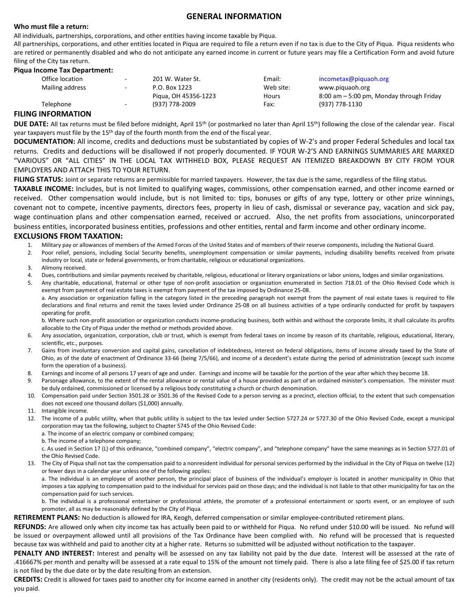## **GENERAL INFORMATION**

#### **Who must file a return:**

All individuals, partnerships, corporations, and other entities having income taxable by Piqua.

All partnerships, corporations, and other entities located in Piqua are required to file a return even if no tax is due to the City of Piqua. Piqua residents who are retired or permanently disabled and who do not anticipate any earned income in current or future years may file a Certification Form and avoid future filing of the City tax return.

#### **Piqua Income Tax Department:**

| Office location | $\sim$                   | 201 W. Water St.     | Email:    | incometax@piquaoh.org                       |
|-----------------|--------------------------|----------------------|-----------|---------------------------------------------|
| Mailing address | $\sim$                   | P.O. Box 1223        | Web site: | www.piguaoh.org                             |
|                 |                          | Pigua, OH 45356-1223 | Hours     | $8:00$ am $-5:00$ pm, Monday through Friday |
| Telephone       | $\overline{\phantom{a}}$ | (937) 778-2009       | Fax:      | (937) 778-1130                              |
|                 |                          |                      |           |                                             |

## **FILING INFORMATION**

**DUE DATE:** All tax returns must be filed before midnight, April 15<sup>th</sup> (or postmarked no later than April 15<sup>th</sup>) following the close of the calendar year. Fiscal year taxpayers must file by the 15<sup>th</sup> day of the fourth month from the end of the fiscal year.

**DOCUMENTATION:** All income, credits and deductions must be substantiated by copies of W-2's and proper Federal Schedules and local tax returns. Credits and deductions will be disallowed if not properly documented. IF YOUR W-2'S AND EARNINGS SUMMARIES ARE MARKED "VARIOUS" OR "ALL CITIES" IN THE LOCAL TAX WITHHELD BOX, PLEASE REQUEST AN ITEMIZED BREAKDOWN BY CITY FROM YOUR EMPLOYERS AND ATTACH THIS TO YOUR RETURN.

**FILING STATUS:** Joint or separate returns are permissible for married taxpayers. However, the tax due is the same, regardless of the filing status.

**TAXABLE INCOME:** Includes, but is not limited to qualifying wages, commissions, other compensation earned, and other income earned or received. Other compensation would include, but is not limited to: tips, bonuses or gifts of any type, lottery or other prize winnings, covenant not to compete, incentive payments, directors fees, property in lieu of cash, dismissal or severance pay, vacation and sick pay, wage continuation plans and other compensation earned, received or accrued. Also, the net profits from associations, unincorporated business entities, incorporated business entities, professions and other entities, rental and farm income and other ordinary income.

## **EXCLUSIONS FROM TAXATION:**

- 1. Military pay or allowances of members of the Armed Forces of the United States and of members of their reserve components, including the National Guard.
- 2. Poor relief, pensions, including Social Security benefits, unemployment compensation or similar payments, including disability benefits received from private industry or local, state or federal governments, or from charitable, religious or educational organizations.
- 3. Alimony received.
- 4. Dues, contributions and similar payments received by charitable, religious, educational or literary organizations or labor unions, lodges and similar organizations.
- 5. Any charitable, educational, fraternal or other type of non-profit association or organization enumerated in Section 718.01 of the Ohio Revised Code which is exempt from payment of real estate taxes is exempt from payment of the tax imposed by Ordinance 25-08. a. Any association or organization falling in the category listed in the preceding paragraph not exempt from the payment of real estate taxes is required to file declarations and final returns and remit the taxes levied under Ordinance 25-08 on all business activities of a type ordinarily conducted for profit by taxpayers operating for profit.

b. Where such non-profit association or organization conducts income-producing business, both within and without the corporate limits, it shall calculate its profits allocable to the City of Piqua under the method or methods provided above.

- 6. Any association, organization, corporation, club or trust, which is exempt from federal taxes on income by reason of its charitable, religious, educational, literary, scientific, etc., purposes.
- 7. Gains from involuntary conversion and capital gains, cancellation of indebtedness, interest on federal obligations, items of income already taxed by the State of Ohio, as of the date of enactment of Ordinance 33-66 (being 7/5/66), and income of a decedent's estate during the period of administration (except such income form the operation of a business).
- 8. Earnings and income of all persons 17 years of age and under. Earnings and income will be taxable for the portion of the year after which they become 18.
- 9. Parsonage allowance, to the extent of the rental allowance or rental value of a house provided as part of an ordained minister's compensation. The minister must be duly ordained, commissioned or licensed by a religious body constituting a church or church denomination.
- 10. Compensation paid under Section 3501.28 or 3501.36 of the Revised Code to a person serving as a precinct, election official, to the extent that such compensation does not exceed one thousand dollars (\$1,000) annually.
- 11. Intangible income.
- 12. The income of a public utility, when that public utility is subject to the tax levied under Section 5727.24 or 5727.30 of the Ohio Revised Code, except a municipal corporation may tax the following, subject to Chapter 5745 of the Ohio Revised Code:
	- a. The income of an electric company or combined company;
	- b. The income of a telephone company;

c. As used in Section 17 (L) of this ordinance, "combined company", "electric company", and "telephone company" have the same meanings as in Section 5727.01 of the Ohio Revised Code.

13. The City of Piqua shall not tax the compensation paid to a nonresident individual for personal services performed by the individual in the City of Piqua on twelve (12) or fewer days in a calendar year unless one of the following applies:

a. The individual is an employee of another person, the principal place of business of the individual's employer is located in another municipality in Ohio that imposes a tax applying to compensation paid to the individual for services paid on those days; and the individual is not liable to that other municipality for tax on the compensation paid for such services.

b. The individual is a professional entertainer or professional athlete, the promoter of a professional entertainment or sports event, or an employee of such promoter, all as may be reasonably defined by the City of Piqua.

**RETIREMENT PLANS:** No deduction is allowed for IRA, Keogh, deferred compensation or similar employee-contributed retirement plans.

**REFUNDS:** Are allowed only when city income tax has actually been paid to or withheld for Piqua. No refund under \$10.00 will be issued. No refund will be issued or overpayment allowed until all provisions of the Tax Ordinance have been complied with. No refund will be processed that is requested because tax was withheld and paid to another city at a higher rate. Returns so submitted will be adjusted without notification to the taxpayer.

PENALTY AND INTEREST: Interest and penalty will be assessed on any tax liability not paid by the due date. Interest will be assessed at the rate of .416667% per month and penalty will be assessed at a rate equal to 15% of the amount not timely paid. There is also a late filing fee of \$25.00 if tax return is not filed by the due date or by the date resulting from an extension.

**CREDITS:** Credit is allowed for taxes paid to another city for income earned in another city (residents only). The credit may not be the actual amount of tax you paid.